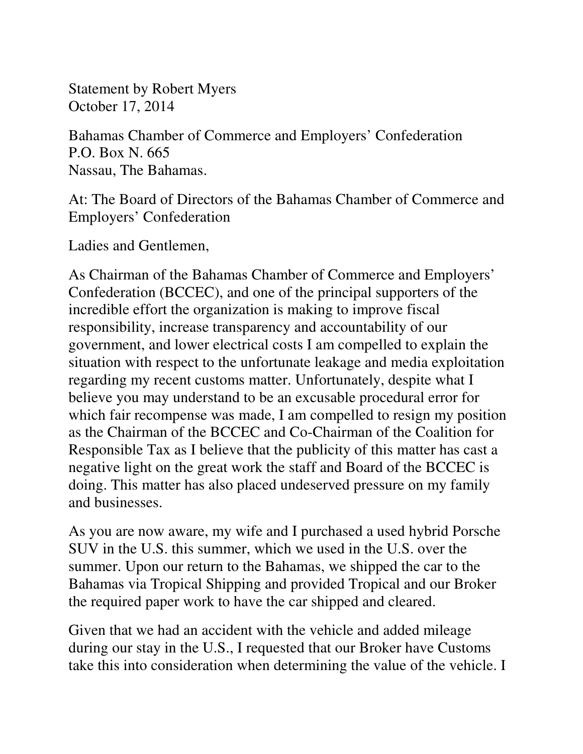Statement by Robert Myers October 17, 2014

Bahamas Chamber of Commerce and Employers' Confederation P.O. Box N. 665 Nassau, The Bahamas.

At: The Board of Directors of the Bahamas Chamber of Commerce and Employers' Confederation

Ladies and Gentlemen,

As Chairman of the Bahamas Chamber of Commerce and Employers' Confederation (BCCEC), and one of the principal supporters of the incredible effort the organization is making to improve fiscal responsibility, increase transparency and accountability of our government, and lower electrical costs I am compelled to explain the situation with respect to the unfortunate leakage and media exploitation regarding my recent customs matter. Unfortunately, despite what I believe you may understand to be an excusable procedural error for which fair recompense was made, I am compelled to resign my position as the Chairman of the BCCEC and Co-Chairman of the Coalition for Responsible Tax as I believe that the publicity of this matter has cast a negative light on the great work the staff and Board of the BCCEC is doing. This matter has also placed undeserved pressure on my family and businesses.

As you are now aware, my wife and I purchased a used hybrid Porsche SUV in the U.S. this summer, which we used in the U.S. over the summer. Upon our return to the Bahamas, we shipped the car to the Bahamas via Tropical Shipping and provided Tropical and our Broker the required paper work to have the car shipped and cleared.

Given that we had an accident with the vehicle and added mileage during our stay in the U.S., I requested that our Broker have Customs take this into consideration when determining the value of the vehicle. I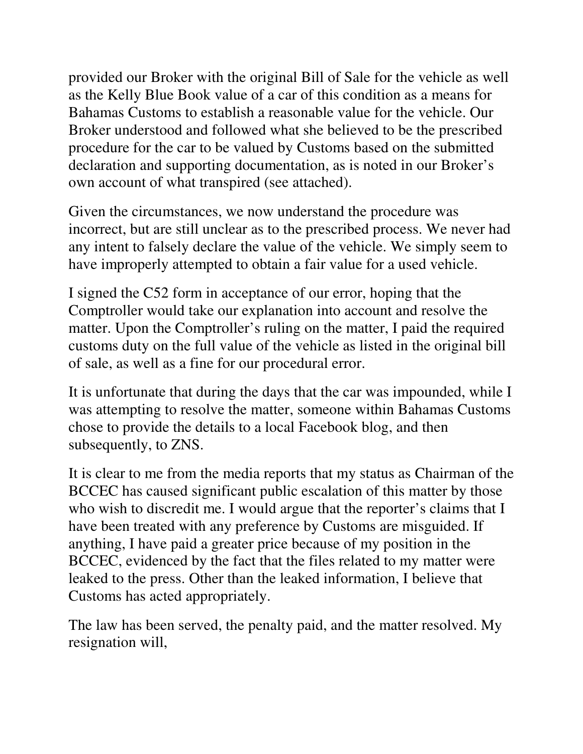provided our Broker with the original Bill of Sale for the vehicle as well as the Kelly Blue Book value of a car of this condition as a means for Bahamas Customs to establish a reasonable value for the vehicle. Our Broker understood and followed what she believed to be the prescribed procedure for the car to be valued by Customs based on the submitted declaration and supporting documentation, as is noted in our Broker's own account of what transpired (see attached).

Given the circumstances, we now understand the procedure was incorrect, but are still unclear as to the prescribed process. We never had any intent to falsely declare the value of the vehicle. We simply seem to have improperly attempted to obtain a fair value for a used vehicle.

I signed the C52 form in acceptance of our error, hoping that the Comptroller would take our explanation into account and resolve the matter. Upon the Comptroller's ruling on the matter, I paid the required customs duty on the full value of the vehicle as listed in the original bill of sale, as well as a fine for our procedural error.

It is unfortunate that during the days that the car was impounded, while I was attempting to resolve the matter, someone within Bahamas Customs chose to provide the details to a local Facebook blog, and then subsequently, to ZNS.

It is clear to me from the media reports that my status as Chairman of the BCCEC has caused significant public escalation of this matter by those who wish to discredit me. I would argue that the reporter's claims that I have been treated with any preference by Customs are misguided. If anything, I have paid a greater price because of my position in the BCCEC, evidenced by the fact that the files related to my matter were leaked to the press. Other than the leaked information, I believe that Customs has acted appropriately.

The law has been served, the penalty paid, and the matter resolved. My resignation will,